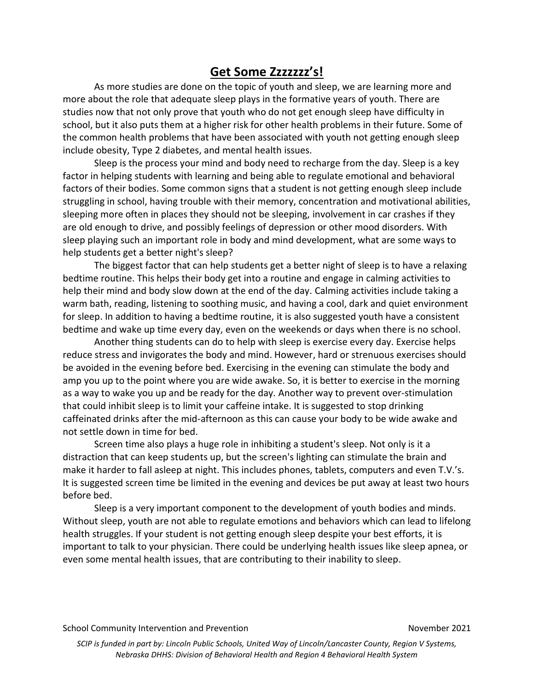## **Get Some Zzzzzzz's!**

As more studies are done on the topic of youth and sleep, we are learning more and more about the role that adequate sleep plays in the formative years of youth. There are studies now that not only prove that youth who do not get enough sleep have difficulty in school, but it also puts them at a higher risk for other health problems in their future. Some of the common health problems that have been associated with youth not getting enough sleep include obesity, Type 2 diabetes, and mental health issues.

Sleep is the process your mind and body need to recharge from the day. Sleep is a key factor in helping students with learning and being able to regulate emotional and behavioral factors of their bodies. Some common signs that a student is not getting enough sleep include struggling in school, having trouble with their memory, concentration and motivational abilities, sleeping more often in places they should not be sleeping, involvement in car crashes if they are old enough to drive, and possibly feelings of depression or other mood disorders. With sleep playing such an important role in body and mind development, what are some ways to help students get a better night's sleep?

The biggest factor that can help students get a better night of sleep is to have a relaxing bedtime routine. This helps their body get into a routine and engage in calming activities to help their mind and body slow down at the end of the day. Calming activities include taking a warm bath, reading, listening to soothing music, and having a cool, dark and quiet environment for sleep. In addition to having a bedtime routine, it is also suggested youth have a consistent bedtime and wake up time every day, even on the weekends or days when there is no school.

Another thing students can do to help with sleep is exercise every day. Exercise helps reduce stress and invigorates the body and mind. However, hard or strenuous exercises should be avoided in the evening before bed. Exercising in the evening can stimulate the body and amp you up to the point where you are wide awake. So, it is better to exercise in the morning as a way to wake you up and be ready for the day. Another way to prevent over-stimulation that could inhibit sleep is to limit your caffeine intake. It is suggested to stop drinking caffeinated drinks after the mid-afternoon as this can cause your body to be wide awake and not settle down in time for bed.

Screen time also plays a huge role in inhibiting a student's sleep. Not only is it a distraction that can keep students up, but the screen's lighting can stimulate the brain and make it harder to fall asleep at night. This includes phones, tablets, computers and even T.V.'s. It is suggested screen time be limited in the evening and devices be put away at least two hours before bed.

Sleep is a very important component to the development of youth bodies and minds. Without sleep, youth are not able to regulate emotions and behaviors which can lead to lifelong health struggles. If your student is not getting enough sleep despite your best efforts, it is important to talk to your physician. There could be underlying health issues like sleep apnea, or even some mental health issues, that are contributing to their inability to sleep.

*SCIP is funded in part by: Lincoln Public Schools, United Way of Lincoln/Lancaster County, Region V Systems, Nebraska DHHS: Division of Behavioral Health and Region 4 Behavioral Health System*